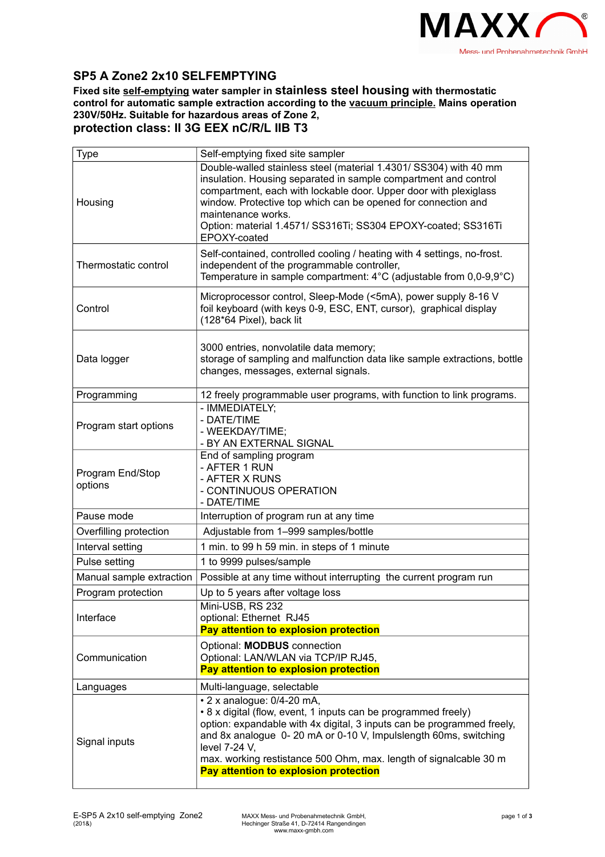

## **SP5 A Zone2 2x10 SELFEMPTYING**

**Fixed site self-emptying water sampler in stainless steel housing with thermostatic control for automatic sample extraction according to the vacuum principle. Mains operation 230V/50Hz. Suitable for hazardous areas of Zone 2, protection class: II 3G EEX nC/R/L IIB T3**

| Type                        | Self-emptying fixed site sampler                                                                                                                                                                                                                                                                                                                                                 |
|-----------------------------|----------------------------------------------------------------------------------------------------------------------------------------------------------------------------------------------------------------------------------------------------------------------------------------------------------------------------------------------------------------------------------|
| Housing                     | Double-walled stainless steel (material 1.4301/ SS304) with 40 mm<br>insulation. Housing separated in sample compartment and control<br>compartment, each with lockable door. Upper door with plexiglass<br>window. Protective top which can be opened for connection and<br>maintenance works.<br>Option: material 1.4571/ SS316Ti; SS304 EPOXY-coated; SS316Ti<br>EPOXY-coated |
| Thermostatic control        | Self-contained, controlled cooling / heating with 4 settings, no-frost.<br>independent of the programmable controller,<br>Temperature in sample compartment: 4°C (adjustable from 0,0-9,9°C)                                                                                                                                                                                     |
| Control                     | Microprocessor control, Sleep-Mode (<5mA), power supply 8-16 V<br>foil keyboard (with keys 0-9, ESC, ENT, cursor), graphical display<br>(128*64 Pixel), back lit                                                                                                                                                                                                                 |
| Data logger                 | 3000 entries, nonvolatile data memory;<br>storage of sampling and malfunction data like sample extractions, bottle<br>changes, messages, external signals.                                                                                                                                                                                                                       |
| Programming                 | 12 freely programmable user programs, with function to link programs.                                                                                                                                                                                                                                                                                                            |
| Program start options       | - IMMEDIATELY;<br>- DATE/TIME<br>- WEEKDAY/TIME;<br>- BY AN EXTERNAL SIGNAL                                                                                                                                                                                                                                                                                                      |
| Program End/Stop<br>options | End of sampling program<br>- AFTER 1 RUN<br>- AFTER X RUNS<br>- CONTINUOUS OPERATION<br>- DATE/TIME                                                                                                                                                                                                                                                                              |
| Pause mode                  | Interruption of program run at any time                                                                                                                                                                                                                                                                                                                                          |
| Overfilling protection      | Adjustable from 1-999 samples/bottle                                                                                                                                                                                                                                                                                                                                             |
| Interval setting            | 1 min. to 99 h 59 min. in steps of 1 minute                                                                                                                                                                                                                                                                                                                                      |
| Pulse setting               | 1 to 9999 pulses/sample                                                                                                                                                                                                                                                                                                                                                          |
| Manual sample extraction    | Possible at any time without interrupting the current program run                                                                                                                                                                                                                                                                                                                |
| Program protection          | Up to 5 years after voltage loss                                                                                                                                                                                                                                                                                                                                                 |
| Interface                   | Mini-USB, RS 232<br>optional: Ethernet RJ45<br>Pay attention to explosion protection                                                                                                                                                                                                                                                                                             |
| Communication               | Optional: MODBUS connection<br>Optional: LAN/WLAN via TCP/IP RJ45,<br>Pay attention to explosion protection                                                                                                                                                                                                                                                                      |
| Languages                   | Multi-language, selectable                                                                                                                                                                                                                                                                                                                                                       |
| Signal inputs               | $\cdot$ 2 x analogue: 0/4-20 mA,<br>• 8 x digital (flow, event, 1 inputs can be programmed freely)<br>option: expandable with 4x digital, 3 inputs can be programmed freely,<br>and 8x analogue 0-20 mA or 0-10 V, Impulslength 60ms, switching<br>level 7-24 V,<br>max. working restistance 500 Ohm, max. length of signalcable 30 m<br>Pay attention to explosion protection   |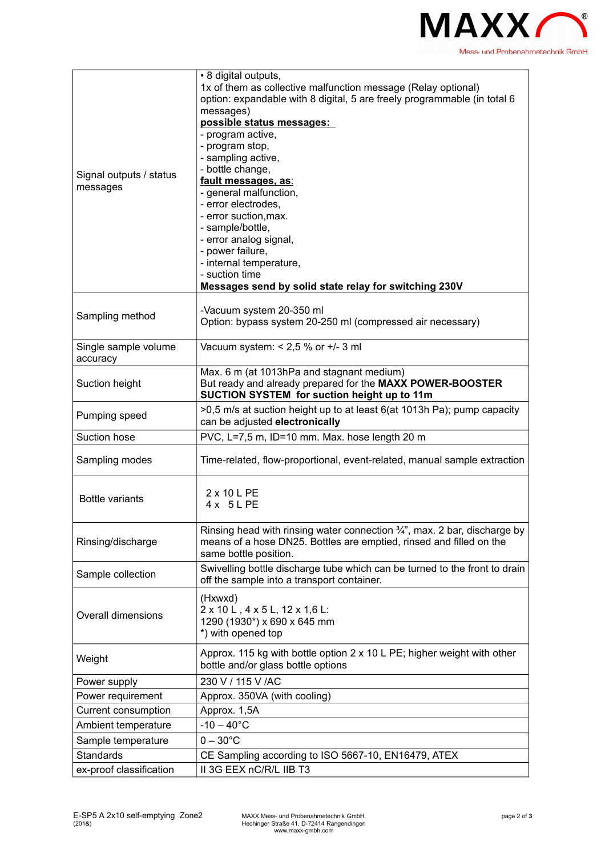

| Signal outputs / status<br>messages | • 8 digital outputs,<br>1x of them as collective malfunction message (Relay optional)<br>option: expandable with 8 digital, 5 are freely programmable (in total 6<br>messages)<br>possible status messages:<br>- program active,<br>- program stop,<br>- sampling active,<br>- bottle change,<br>fault messages, as:<br>- general malfunction,<br>- error electrodes,<br>- error suction, max.<br>- sample/bottle,<br>- error analog signal,<br>- power failure,<br>- internal temperature,<br>- suction time<br>Messages send by solid state relay for switching 230V |
|-------------------------------------|------------------------------------------------------------------------------------------------------------------------------------------------------------------------------------------------------------------------------------------------------------------------------------------------------------------------------------------------------------------------------------------------------------------------------------------------------------------------------------------------------------------------------------------------------------------------|
| Sampling method                     | -Vacuum system 20-350 ml<br>Option: bypass system 20-250 ml (compressed air necessary)                                                                                                                                                                                                                                                                                                                                                                                                                                                                                 |
| Single sample volume<br>accuracy    | Vacuum system: $< 2.5$ % or $+/- 3$ ml                                                                                                                                                                                                                                                                                                                                                                                                                                                                                                                                 |
| Suction height                      | Max. 6 m (at 1013hPa and stagnant medium)<br>But ready and already prepared for the MAXX POWER-BOOSTER<br>SUCTION SYSTEM for suction height up to 11m                                                                                                                                                                                                                                                                                                                                                                                                                  |
| Pumping speed                       | >0,5 m/s at suction height up to at least 6(at 1013h Pa); pump capacity<br>can be adjusted electronically                                                                                                                                                                                                                                                                                                                                                                                                                                                              |
| Suction hose                        | PVC, L=7,5 m, ID=10 mm. Max. hose length 20 m                                                                                                                                                                                                                                                                                                                                                                                                                                                                                                                          |
| Sampling modes                      | Time-related, flow-proportional, event-related, manual sample extraction                                                                                                                                                                                                                                                                                                                                                                                                                                                                                               |
| <b>Bottle variants</b>              | 2 x 10 L PE<br>$4x$ 5 L PE                                                                                                                                                                                                                                                                                                                                                                                                                                                                                                                                             |
| Rinsing/discharge                   | Rinsing head with rinsing water connection $\frac{3}{4}$ ", max. 2 bar, discharge by<br>means of a hose DN25. Bottles are emptied, rinsed and filled on the<br>same bottle position.                                                                                                                                                                                                                                                                                                                                                                                   |
| Sample collection                   | Swivelling bottle discharge tube which can be turned to the front to drain<br>off the sample into a transport container.                                                                                                                                                                                                                                                                                                                                                                                                                                               |
| Overall dimensions                  | (Hxwxd)<br>2 x 10 L, 4 x 5 L, 12 x 1,6 L:<br>1290 (1930*) x 690 x 645 mm<br>*) with opened top                                                                                                                                                                                                                                                                                                                                                                                                                                                                         |
| Weight                              | Approx. 115 kg with bottle option 2 x 10 L PE; higher weight with other<br>bottle and/or glass bottle options                                                                                                                                                                                                                                                                                                                                                                                                                                                          |
| Power supply                        | 230 V / 115 V / AC                                                                                                                                                                                                                                                                                                                                                                                                                                                                                                                                                     |
| Power requirement                   | Approx. 350VA (with cooling)                                                                                                                                                                                                                                                                                                                                                                                                                                                                                                                                           |
| Current consumption                 | Approx. 1,5A                                                                                                                                                                                                                                                                                                                                                                                                                                                                                                                                                           |
| Ambient temperature                 | $-10 - 40^{\circ}C$                                                                                                                                                                                                                                                                                                                                                                                                                                                                                                                                                    |
| Sample temperature                  | $0-30^{\circ}$ C                                                                                                                                                                                                                                                                                                                                                                                                                                                                                                                                                       |
| <b>Standards</b>                    | CE Sampling according to ISO 5667-10, EN16479, ATEX                                                                                                                                                                                                                                                                                                                                                                                                                                                                                                                    |
| ex-proof classification             | II 3G EEX nC/R/L IIB T3                                                                                                                                                                                                                                                                                                                                                                                                                                                                                                                                                |